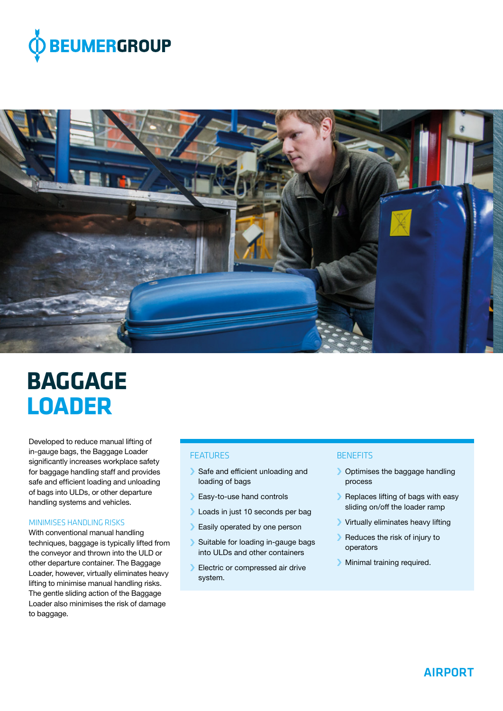



# **BAGGAGE LOADER**

Developed to reduce manual lifting of in-gauge bags, the Baggage Loader significantly increases workplace safety for baggage handling staff and provides safe and efficient loading and unloading of bags into ULDs, or other departure handling systems and vehicles.

# MINIMISES HANDLING RISKS

With conventional manual handling techniques, baggage is typically lifted from the conveyor and thrown into the ULD or other departure container. The Baggage Loader, however, virtually eliminates heavy lifting to minimise manual handling risks. The gentle sliding action of the Baggage Loader also minimises the risk of damage to baggage.

### **FFATURES**

- › Safe and efficient unloading and loading of bags
- › Easy-to-use hand controls
- **I** Loads in just 10 seconds per bag
- › Easily operated by one person
- › Suitable for loading in-gauge bags into ULDs and other containers
- › Electric or compressed air drive system.

# **BENEFITS**

- > Optimises the baggage handling process
- › Replaces lifting of bags with easy sliding on/off the loader ramp
- › Virtually eliminates heavy lifting
- › Reduces the risk of injury to operators
- › Minimal training required.